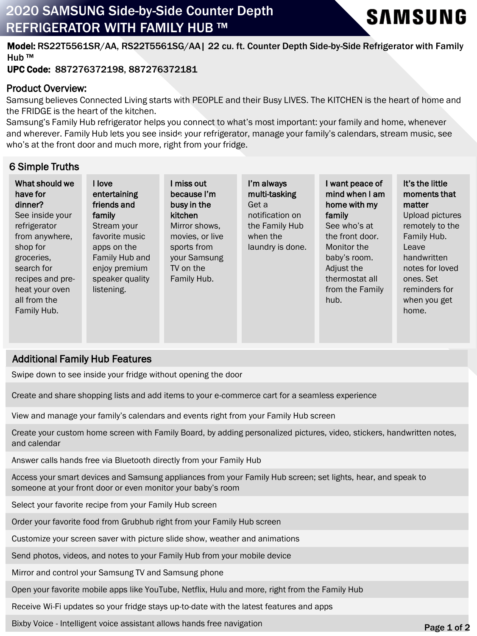# 2020 SAMSUNG Side-by-Side Counter Depth REFRIGERATOR WITH FAMILY HUB ™



Model: RS22T5561SR/AA, RS22T5561SG/AA| 22 cu. ft. Counter Depth Side-by-Side Refrigerator with Family Hub ™

### UPC Code: 887276372198, 887276372181

#### Product Overview:

Samsung believes Connected Living starts with PEOPLE and their Busy LIVES. The KITCHEN is the heart of home and the FRIDGE is the heart of the kitchen.

Samsung's Family Hub refrigerator helps you connect to what's most important: your family and home, whenever and wherever. Family Hub lets you see inside your refrigerator, manage your family's calendars, stream music, see who's at the front door and much more, right from your fridge.

# 6 Simple Truths

| What should we<br>have for<br>dinner?<br>See inside your<br>refrigerator<br>from anywhere,<br>shop for<br>groceries.<br>search for<br>recipes and pre-<br>heat your oven<br>all from the<br>Family Hub. | I love<br>entertaining<br>friends and<br>family<br>Stream your<br>favorite music<br>apps on the<br>Family Hub and<br>enjoy premium<br>speaker quality<br>listening. | miss out<br>because I'm<br>busy in the<br>kitchen<br>Mirror shows,<br>movies, or live<br>sports from<br>your Samsung<br>TV on the<br>Family Hub. | I'm always<br>multi-tasking<br>Get a<br>notification on<br>the Family Hub<br>when the<br>laundry is done. | want peace of<br>mind when I am<br>home with my<br>family<br>See who's at<br>the front door.<br>Monitor the<br>baby's room.<br>Adjust the<br>thermostat all<br>from the Family<br>hub. | It's the little<br>moments that<br>matter<br>Upload pictures<br>remotely to the<br>Family Hub.<br>Leave<br>handwritten<br>notes for loved<br>ones. Set<br>reminders for<br>when you get<br>home. |
|---------------------------------------------------------------------------------------------------------------------------------------------------------------------------------------------------------|---------------------------------------------------------------------------------------------------------------------------------------------------------------------|--------------------------------------------------------------------------------------------------------------------------------------------------|-----------------------------------------------------------------------------------------------------------|----------------------------------------------------------------------------------------------------------------------------------------------------------------------------------------|--------------------------------------------------------------------------------------------------------------------------------------------------------------------------------------------------|
|                                                                                                                                                                                                         |                                                                                                                                                                     |                                                                                                                                                  |                                                                                                           |                                                                                                                                                                                        |                                                                                                                                                                                                  |

## Additional Family Hub Features

Swipe down to see inside your fridge without opening the door

Create and share shopping lists and add items to your e-commerce cart for a seamless experience

View and manage your family's calendars and events right from your Family Hub screen

Create your custom home screen with Family Board, by adding personalized pictures, video, stickers, handwritten notes, and calendar

Answer calls hands free via Bluetooth directly from your Family Hub

Access your smart devices and Samsung appliances from your Family Hub screen; set lights, hear, and speak to someone at your front door or even monitor your baby's room

Select your favorite recipe from your Family Hub screen

Order your favorite food from Grubhub right from your Family Hub screen

Customize your screen saver with picture slide show, weather and animations

Send photos, videos, and notes to your Family Hub from your mobile device

Mirror and control your Samsung TV and Samsung phone

Open your favorite mobile apps like YouTube, Netflix, Hulu and more, right from the Family Hub

Receive Wi-Fi updates so your fridge stays up-to-date with the latest features and apps

Bixby Voice - Intelligent voice assistant allows hands free navigation